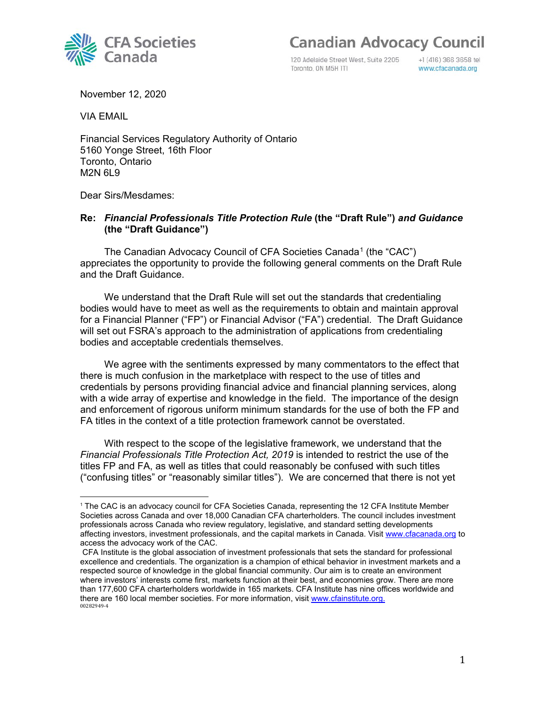

120 Adelaide Street West, Suite 2205 Toronto, ON M5H ITI

+1 (416) 366 3658 tel www.cfacanada.org

November 12, 2020

VIA EMAIL

Financial Services Regulatory Authority of Ontario 5160 Yonge Street, 16th Floor Toronto, Ontario M2N 6L9

Dear Sirs/Mesdames:

### **Re:** *Financial Professionals Title Protection Rule* **(the "Draft Rule")** *and Guidance* **(the "Draft Guidance")**

The Canadian Advocacy Council of CFA Societies Canada<sup>[1](#page-0-0)</sup> (the "CAC") appreciates the opportunity to provide the following general comments on the Draft Rule and the Draft Guidance.

We understand that the Draft Rule will set out the standards that credentialing bodies would have to meet as well as the requirements to obtain and maintain approval for a Financial Planner ("FP") or Financial Advisor ("FA") credential. The Draft Guidance will set out FSRA's approach to the administration of applications from credentialing bodies and acceptable credentials themselves.

We agree with the sentiments expressed by many commentators to the effect that there is much confusion in the marketplace with respect to the use of titles and credentials by persons providing financial advice and financial planning services, along with a wide array of expertise and knowledge in the field. The importance of the design and enforcement of rigorous uniform minimum standards for the use of both the FP and FA titles in the context of a title protection framework cannot be overstated.

With respect to the scope of the legislative framework, we understand that the *Financial Professionals Title Protection Act, 2019* is intended to restrict the use of the titles FP and FA, as well as titles that could reasonably be confused with such titles ("confusing titles" or "reasonably similar titles"). We are concerned that there is not yet

<span id="page-0-0"></span><sup>1</sup> The CAC is an advocacy council for CFA Societies Canada, representing the 12 CFA Institute Member Societies across Canada and over 18,000 Canadian CFA charterholders. The council includes investment professionals across Canada who review regulatory, legislative, and standard setting developments affecting investors, investment professionals, and the capital markets in Canada. Visi[t www.cfacanada.org](http://www.cfacanada.org/) to access the advocacy work of the CAC.

<sup>00282949-4</sup>  CFA Institute is the global association of investment professionals that sets the standard for professional excellence and credentials. The organization is a champion of ethical behavior in investment markets and a respected source of knowledge in the global financial community. Our aim is to create an environment where investors' interests come first, markets function at their best, and economies grow. There are more than 177,600 CFA charterholders worldwide in 165 markets. CFA Institute has nine offices worldwide and there are 160 local member societies. For more information, visit [www.cfainstitute.org.](http://www.cfainstitute.org/)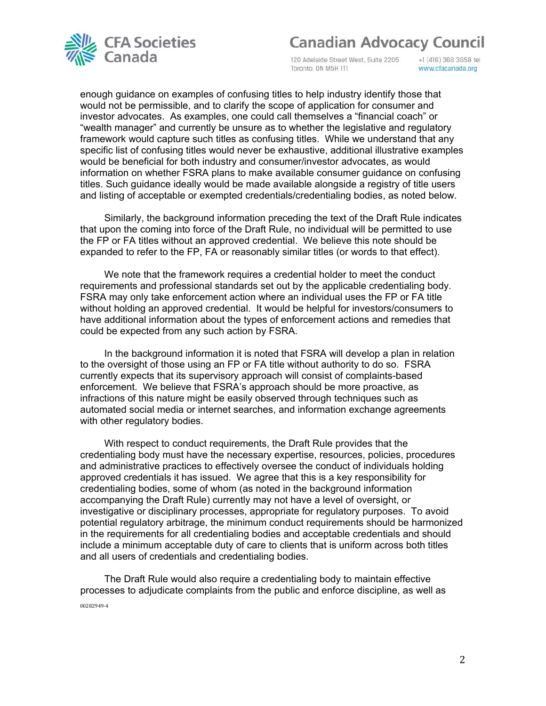

120 Adelaide Street West, Suite 2205 Toronto, ON M5H ITI

+1 (416) 366 3658 tel www.cfacanada.org

enough guidance on examples of confusing titles to help industry identify those that would not be permissible, and to clarify the scope of application for consumer and investor advocates. As examples, one could call themselves a "financial coach" or "wealth manager" and currently be unsure as to whether the legislative and regulatory framework would capture such titles as confusing titles. While we understand that any specific list of confusing titles would never be exhaustive, additional illustrative examples would be beneficial for both industry and consumer/investor advocates, as would information on whether FSRA plans to make available consumer guidance on confusing titles. Such guidance ideally would be made available alongside a registry of title users and listing of acceptable or exempted credentials/credentialing bodies, as noted below.

Similarly, the background information preceding the text of the Draft Rule indicates that upon the coming into force of the Draft Rule, no individual will be permitted to use the FP or FA titles without an approved credential. We believe this note should be expanded to refer to the FP, FA or reasonably similar titles (or words to that effect).

We note that the framework requires a credential holder to meet the conduct requirements and professional standards set out by the applicable credentialing body. FSRA may only take enforcement action where an individual uses the FP or FA title without holding an approved credential. It would be helpful for investors/consumers to have additional information about the types of enforcement actions and remedies that could be expected from any such action by FSRA.

In the background information it is noted that FSRA will develop a plan in relation to the oversight of those using an FP or FA title without authority to do so. FSRA currently expects that its supervisory approach will consist of complaints-based enforcement. We believe that FSRA's approach should be more proactive, as infractions of this nature might be easily observed through techniques such as automated social media or internet searches, and information exchange agreements with other regulatory bodies.

With respect to conduct requirements, the Draft Rule provides that the credentialing body must have the necessary expertise, resources, policies, procedures and administrative practices to effectively oversee the conduct of individuals holding approved credentials it has issued. We agree that this is a key responsibility for credentialing bodies, some of whom (as noted in the background information accompanying the Draft Rule) currently may not have a level of oversight, or investigative or disciplinary processes, appropriate for regulatory purposes. To avoid potential regulatory arbitrage, the minimum conduct requirements should be harmonized in the requirements for all credentialing bodies and acceptable credentials and should include a minimum acceptable duty of care to clients that is uniform across both titles and all users of credentials and credentialing bodies.

00282949-4 The Draft Rule would also require a credentialing body to maintain effective processes to adjudicate complaints from the public and enforce discipline, as well as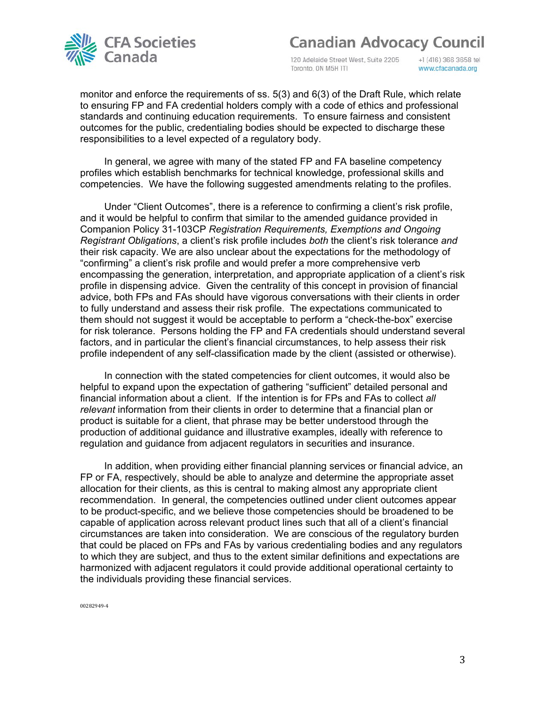

120 Adelaide Street West, Suite 2205 Toronto, ON M5H ITI

+1 (416) 366 3658 tel www.cfacanada.org

monitor and enforce the requirements of ss. 5(3) and 6(3) of the Draft Rule, which relate to ensuring FP and FA credential holders comply with a code of ethics and professional standards and continuing education requirements. To ensure fairness and consistent outcomes for the public, credentialing bodies should be expected to discharge these responsibilities to a level expected of a regulatory body.

In general, we agree with many of the stated FP and FA baseline competency profiles which establish benchmarks for technical knowledge, professional skills and competencies. We have the following suggested amendments relating to the profiles.

Under "Client Outcomes", there is a reference to confirming a client's risk profile, and it would be helpful to confirm that similar to the amended guidance provided in Companion Policy 31-103CP *Registration Requirements, Exemptions and Ongoing Registrant Obligations*, a client's risk profile includes *both* the client's risk tolerance *and* their risk capacity. We are also unclear about the expectations for the methodology of "confirming" a client's risk profile and would prefer a more comprehensive verb encompassing the generation, interpretation, and appropriate application of a client's risk profile in dispensing advice. Given the centrality of this concept in provision of financial advice, both FPs and FAs should have vigorous conversations with their clients in order to fully understand and assess their risk profile. The expectations communicated to them should not suggest it would be acceptable to perform a "check-the-box" exercise for risk tolerance. Persons holding the FP and FA credentials should understand several factors, and in particular the client's financial circumstances, to help assess their risk profile independent of any self-classification made by the client (assisted or otherwise).

In connection with the stated competencies for client outcomes, it would also be helpful to expand upon the expectation of gathering "sufficient" detailed personal and financial information about a client. If the intention is for FPs and FAs to collect *all relevant* information from their clients in order to determine that a financial plan or product is suitable for a client, that phrase may be better understood through the production of additional guidance and illustrative examples, ideally with reference to regulation and guidance from adjacent regulators in securities and insurance.

In addition, when providing either financial planning services or financial advice, an FP or FA, respectively, should be able to analyze and determine the appropriate asset allocation for their clients, as this is central to making almost any appropriate client recommendation. In general, the competencies outlined under client outcomes appear to be product-specific, and we believe those competencies should be broadened to be capable of application across relevant product lines such that all of a client's financial circumstances are taken into consideration. We are conscious of the regulatory burden that could be placed on FPs and FAs by various credentialing bodies and any regulators to which they are subject, and thus to the extent similar definitions and expectations are harmonized with adjacent regulators it could provide additional operational certainty to the individuals providing these financial services.

00282949-4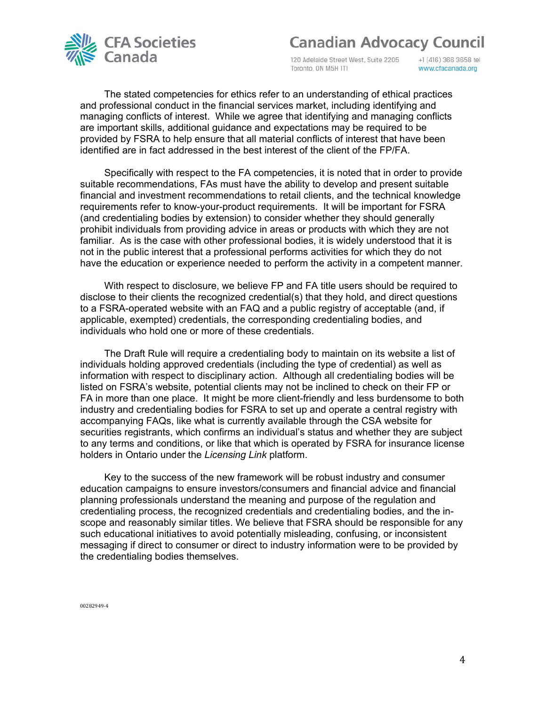

120 Adelaide Street West, Suite 2205 Toronto, ON M5H ITI

+1 (416) 366 3658 tel www.cfacanada.org

The stated competencies for ethics refer to an understanding of ethical practices and professional conduct in the financial services market, including identifying and managing conflicts of interest. While we agree that identifying and managing conflicts are important skills, additional guidance and expectations may be required to be provided by FSRA to help ensure that all material conflicts of interest that have been identified are in fact addressed in the best interest of the client of the FP/FA.

Specifically with respect to the FA competencies, it is noted that in order to provide suitable recommendations, FAs must have the ability to develop and present suitable financial and investment recommendations to retail clients, and the technical knowledge requirements refer to know-your-product requirements. It will be important for FSRA (and credentialing bodies by extension) to consider whether they should generally prohibit individuals from providing advice in areas or products with which they are not familiar. As is the case with other professional bodies, it is widely understood that it is not in the public interest that a professional performs activities for which they do not have the education or experience needed to perform the activity in a competent manner.

With respect to disclosure, we believe FP and FA title users should be required to disclose to their clients the recognized credential(s) that they hold, and direct questions to a FSRA-operated website with an FAQ and a public registry of acceptable (and, if applicable, exempted) credentials, the corresponding credentialing bodies, and individuals who hold one or more of these credentials.

The Draft Rule will require a credentialing body to maintain on its website a list of individuals holding approved credentials (including the type of credential) as well as information with respect to disciplinary action. Although all credentialing bodies will be listed on FSRA's website, potential clients may not be inclined to check on their FP or FA in more than one place. It might be more client-friendly and less burdensome to both industry and credentialing bodies for FSRA to set up and operate a central registry with accompanying FAQs, like what is currently available through the CSA website for securities registrants, which confirms an individual's status and whether they are subject to any terms and conditions, or like that which is operated by FSRA for insurance license holders in Ontario under the *Licensing Link* platform.

Key to the success of the new framework will be robust industry and consumer education campaigns to ensure investors/consumers and financial advice and financial planning professionals understand the meaning and purpose of the regulation and credentialing process, the recognized credentials and credentialing bodies, and the inscope and reasonably similar titles. We believe that FSRA should be responsible for any such educational initiatives to avoid potentially misleading, confusing, or inconsistent messaging if direct to consumer or direct to industry information were to be provided by the credentialing bodies themselves.

00282949-4